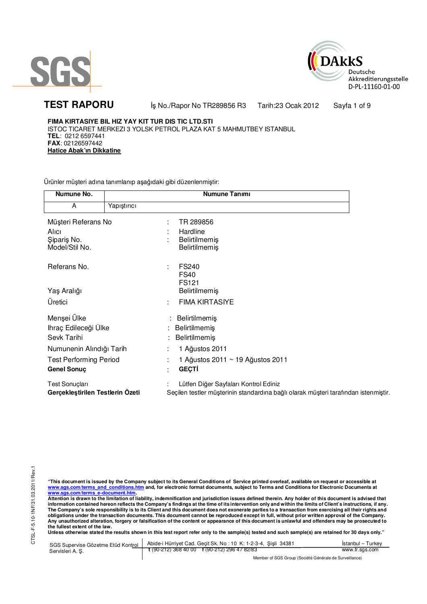



**TEST RAPORU** iş No./Rapor No TR289856 R3 Tarih:23 Ocak 2012 Sayfa 1 of 9

**FIMA KIRTASIYE BIL HIZ YAY KIT TUR DIS TIC LTD.STI** ISTOC TICARET MERKEZI 3 YOLSK PETROL PLAZA KAT 5 MAHMUTBEY ISTANBUL **TEL**: 0212 6597441 **FAX**: 02126597442 **Hatice Abak'ın Dikkatine** 

Ürünler müşteri adına tanımlanıp aşağıdaki gibi düzenlenmiştir:

| Numune No.                       |             | Numune Tanımı                                                                       |
|----------------------------------|-------------|-------------------------------------------------------------------------------------|
| A                                | Yapıştırıcı |                                                                                     |
| Müşteri Referans No              |             | TR 289856<br>÷                                                                      |
| Alici                            |             | Hardline                                                                            |
| Şipariş No.                      |             | Belirtilmemiş                                                                       |
| Model/Stil No.                   |             | <b>Belirtilmemiş</b>                                                                |
| Referans No.                     |             | <b>FS240</b><br>÷                                                                   |
|                                  |             | <b>FS40</b>                                                                         |
|                                  |             | FS121                                                                               |
| Yaş Aralığı                      |             | <b>Belirtilmemiş</b>                                                                |
| Üretici                          |             | <b>FIMA KIRTASIYE</b><br>÷                                                          |
| Menşei Ülke                      |             | Belirtilmemiş                                                                       |
| Ihraç Edileceği Ülke             |             | Belirtilmemiş                                                                       |
| Sevk Tarihi                      |             | Belirtilmemiş                                                                       |
| Numunenin Alındığı Tarih         |             | 1 Ağustos 2011                                                                      |
| <b>Test Performing Period</b>    |             | 1 Ağustos 2011 ~ 19 Ağustos 2011                                                    |
| <b>Genel Sonuç</b>               |             | <b>GEÇTİ</b><br>٠                                                                   |
| Test Sonuçları                   |             | Lütfen Diğer Sayfaları Kontrol Ediniz                                               |
| Gerçekleştirilen Testlerin Ozeti |             | Seçilen testler müşterinin standardına bağlı olarak müşteri tarafından istenmiştir. |

"This document is issued by the Company subject to its General Conditions of Service printed overleaf, available on request or accessible at<br>www.sgs.com/terms\_and\_conditions.htm\_and, for electronic format documents, subjec <mark>www.sgs.com/terms\_e-document.htm.</mark><br>Attention is drawn to the limitation of liability, indemnification and jurisdiction issues defined therein. Any holder of this document is advised that

information contained hereon reflects the Company's findings at the time of its intervention only and within the limits of Client's instructions, if any.<br>The Company's sole responsibility is to its Client and this document obligations under the transaction documents. This document cannot be reproduced except in full, without prior written approval of the Company.<br>Any unauthorized alteration, forgery or falsification of the content or appeara

**Unless otherwise stated the results shown in this test report refer only to the sample(s) tested and such sample(s) are retained for 30 days only."** 

| SGS Supervise Gözetme Etüd Kontrol | Abide-i Hürriyet Cad. Gecit Sk. No: 10 K: 1-2-3-4, Sisli 34381 | Istanbul – Turkev |  |  |
|------------------------------------|----------------------------------------------------------------|-------------------|--|--|
| Servisleri A. Ş.                   | $\frac{1}{2}$ (90-212) 368 40 00 f (90-212) 296 47 82/83       | www.tr.sgs.com    |  |  |
|                                    | Member of SGS Group (Société Générale de Surveillance)         |                   |  |  |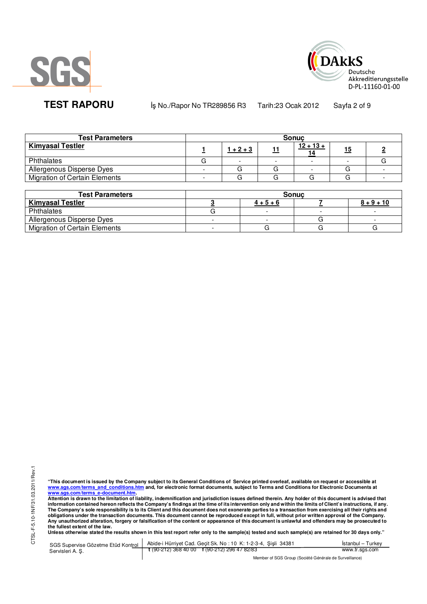



**TEST RAPORU** iş No./Rapor No TR289856 R3 Tarih:23 Ocak 2012 Sayfa 2 of 9

| <b>Test Parameters</b>               | <b>Sonuc</b> |             |  |             |            |  |  |
|--------------------------------------|--------------|-------------|--|-------------|------------|--|--|
| <b>Kimyasal Testler</b>              |              | $1 + 2 + 3$ |  | $12 + 13 +$ | <u> 15</u> |  |  |
| Phthalates                           |              |             |  |             |            |  |  |
| Allergenous Disperse Dyes            |              |             |  |             |            |  |  |
| <b>Migration of Certain Elements</b> |              |             |  |             |            |  |  |

| <b>Test Parameters</b>               | <b>Sonuc</b> |             |  |              |  |  |
|--------------------------------------|--------------|-------------|--|--------------|--|--|
| <b>Kimyasal Testler</b>              |              | $4 + 5 + 6$ |  | $8 + 9 + 10$ |  |  |
| Phthalates                           |              |             |  |              |  |  |
| Allergenous Disperse Dyes            |              |             |  |              |  |  |
| <b>Migration of Certain Elements</b> |              |             |  |              |  |  |

CTSL-F-5.10-1NF/31.03.2011/Rev.1 CTSL-F-5.10-1NF/31.03.2011/Rev.1

"This document is issued by the Company subject to its General Conditions of Service printed overleaf, available on request or accessible at<br>www.sgs.com/terms\_and\_conditions.htm\_and, for electronic format documents, subjec <mark>www.sgs.com/terms\_e-document.htm.</mark><br>Attention is drawn to the limitation of liability, indemnification and jurisdiction issues defined therein. Any holder of this document is advised that

information contained hereon reflects the Company's findings at the time of its intervention only and within the limits of Client's instructions, if any.<br>The Company's sole responsibility is to its Client and this document **obligations under the transaction documents. This document cannot be reproduced except in full, without prior written approval of the Company. Any unauthorized alteration, forgery or falsification of the content or appearance of this document is unlawful and offenders may be prosecuted to the fullest extent of the law.** 

**Unless otherwise stated the results shown in this test report refer only to the sample(s) tested and such sample(s) are retained for 30 days only."** 

SGS Supervise Gözetme Etüd Kontrol Servisleri A. Ş. Abide-i Hürriyet Cad. Geçit Sk. No : 10 K: 1-2-3-4, Şişli 34381 **t** (90-212) 368 40 00 **f** (90-212) 296 47 82/83 İstanbul – Turkey www.tr.sgs.com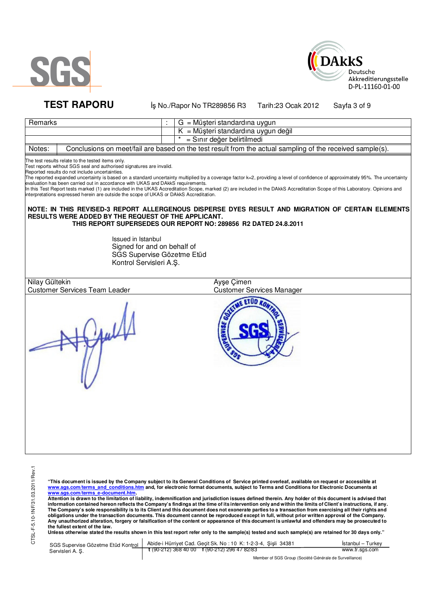



**TEST RAPORU** iş No./Rapor No TR289856 R3 Tarih:23 Ocak 2012 Sayfa 3 of 9

| Remarks                                                                                                                                                                                                                                                                                                                                                                                                                |                                                                                                            | G = Müşteri standardına uygun                                                                                                                                                                                                                                                                                                                                                                                                                                                                                                           |  |  |  |
|------------------------------------------------------------------------------------------------------------------------------------------------------------------------------------------------------------------------------------------------------------------------------------------------------------------------------------------------------------------------------------------------------------------------|------------------------------------------------------------------------------------------------------------|-----------------------------------------------------------------------------------------------------------------------------------------------------------------------------------------------------------------------------------------------------------------------------------------------------------------------------------------------------------------------------------------------------------------------------------------------------------------------------------------------------------------------------------------|--|--|--|
|                                                                                                                                                                                                                                                                                                                                                                                                                        |                                                                                                            | K = Müşteri standardına uygun değil                                                                                                                                                                                                                                                                                                                                                                                                                                                                                                     |  |  |  |
|                                                                                                                                                                                                                                                                                                                                                                                                                        |                                                                                                            | = Sınır değer belirtilmedi                                                                                                                                                                                                                                                                                                                                                                                                                                                                                                              |  |  |  |
| Notes:                                                                                                                                                                                                                                                                                                                                                                                                                 |                                                                                                            | Conclusions on meet/fail are based on the test result from the actual sampling of the received sample(s).                                                                                                                                                                                                                                                                                                                                                                                                                               |  |  |  |
| The test results relate to the tested items only.<br>Test reports without SGS seal and authorised signatures are invalid.<br>Reported results do not include uncertainties.<br>evaluation has been carried out in accordance with UKAS and DAkkS requirements.<br>interpretations expressed herein are outside the scope of UKAS or DAkkS Accreditation.<br><b>RESULTS WERE ADDED BY THE REQUEST OF THE APPLICANT.</b> | Issued in Istanbul<br>Signed for and on behalf of<br>SGS Supervise Gözetme Etüd<br>Kontrol Servisleri A.Ş. | The reported expanded uncertainty is based on a standard uncertainty multiplied by a coverage factor k=2, providing a level of confidence of approximately 95%. The uncertainty<br>In this Test Report tests marked (1) are included in the UKAS Accreditation Scope, marked (2) are included in the DAkkS Accreditation Scope of this Laboratory. Opinions and<br>NOTE: IN THIS REVISED-3 REPORT ALLERGENOUS DISPERSE DYES RESULT AND MIGRATION OF CERTAIN ELEMENTS<br>THIS REPORT SUPERSEDES OUR REPORT NO: 289856 R2 DATED 24.8.2011 |  |  |  |
| Nilay Gültekin                                                                                                                                                                                                                                                                                                                                                                                                         |                                                                                                            | Ayşe Çimen                                                                                                                                                                                                                                                                                                                                                                                                                                                                                                                              |  |  |  |
| <b>Customer Services Team Leader</b>                                                                                                                                                                                                                                                                                                                                                                                   |                                                                                                            | <b>Customer Services Manager</b>                                                                                                                                                                                                                                                                                                                                                                                                                                                                                                        |  |  |  |
|                                                                                                                                                                                                                                                                                                                                                                                                                        |                                                                                                            |                                                                                                                                                                                                                                                                                                                                                                                                                                                                                                                                         |  |  |  |

"This document is issued by the Company subject to its General Conditions of Service printed overleaf, available on request or accessible at<br>www.sgs.com/terms\_and\_conditions.htm\_and, for electronic format documents, subjec

<mark>www.sgs.com/terms\_e-document.htm.</mark><br>Attention is drawn to the limitation of liability, indemnification and jurisdiction issues defined therein. Any holder of this document is advised that information contained hereon reflects the Company's findings at the time of its intervention only and within the limits of Client's instructions, if any.<br>The Company's sole responsibility is to its Client and this document obligations under the transaction documents. This document cannot be reproduced except in full, without prior written approval of the Company.<br>Any unauthorized alteration, forgery or falsification of the content or appeara

SGS Supervise Gözetme Etüd Kontrol Servisleri A. Ş. Abide-i Hürriyet Cad. Geçit Sk. No : 10 K: 1-2-3-4, Şişli 34381 **t** (90-212) 368 40 00 **f** (90-212) 296 47 82/83 İstanbul – Turkey www.tr.sgs.com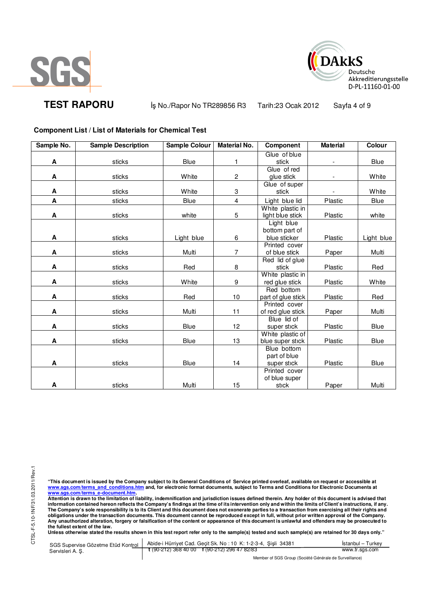



**TEST RAPORU** iş No./Rapor No TR289856 R3 Tarih:23 Ocak 2012 Sayfa 4 of 9

## **Component List / List of Materials for Chemical Test**

| Sample No. | <b>Sample Description</b> | Sample Colour | <b>Material No.</b> | Component                           | <b>Material</b> | Colour      |
|------------|---------------------------|---------------|---------------------|-------------------------------------|-----------------|-------------|
|            |                           |               |                     | Glue of blue                        |                 |             |
| Α          | sticks                    | Blue          | 1                   | stick                               |                 | Blue        |
|            |                           |               |                     | Glue of red                         |                 |             |
| A          | sticks                    | White         | $\overline{c}$      | glue stick                          |                 | White       |
|            |                           |               |                     | Glue of super                       |                 |             |
| Α          | sticks                    | White         | 3                   | stick                               |                 | White       |
| A          | sticks                    | <b>Blue</b>   | 4                   | Light blue lid                      | Plastic         | Blue        |
|            |                           |               |                     | White plastic in                    |                 |             |
| A          | sticks                    | white         | 5                   | light blue stick                    | Plastic         | white       |
|            |                           |               |                     | Light blue                          |                 |             |
|            |                           |               |                     | bottom part of                      |                 |             |
| Α          | sticks                    | Light blue    | 6                   | blue sticker                        | Plastic         | Light blue  |
|            |                           |               |                     | Printed cover                       |                 |             |
| A          | sticks                    | Multi         | $\overline{7}$      | of blue stick                       | Paper           | Multi       |
|            |                           |               |                     | Red lid of glue                     |                 |             |
| A          | sticks                    | Red           | 8                   | stick                               | Plastic         | Red         |
|            |                           |               |                     | White plastic in                    |                 |             |
| A          | sticks                    | White         | 9                   | red glue stick                      | Plastic         | White       |
| A          |                           |               |                     | Red bottom                          |                 |             |
|            | sticks                    | Red           | 10                  | part of glue stick<br>Printed cover | Plastic         | Red         |
| A          | sticks                    | Multi         | 11                  | of red glue stick                   | Paper           | Multi       |
|            |                           |               |                     | Blue lid of                         |                 |             |
| A          | sticks                    | <b>Blue</b>   | 12                  | super stick                         | Plastic         | Blue        |
|            |                           |               |                     | White plastic of                    |                 |             |
| A          | sticks                    | <b>Blue</b>   | 13                  | blue super stick                    | Plastic         | Blue        |
|            |                           |               |                     | Blue bottom                         |                 |             |
|            |                           |               |                     | part of blue                        |                 |             |
| Α          | sticks                    | <b>Blue</b>   | 14                  | super stick                         | Plastic         | <b>Blue</b> |
|            |                           |               |                     | Printed cover                       |                 |             |
|            |                           |               |                     | of blue super                       |                 |             |
| A          | sticks                    | Multi         | 15                  | stick                               | Paper           | Multi       |

"This document is issued by the Company subject to its General Conditions of Service printed overleaf, available on request or accessible at<br>www.sgs.com/terms\_and\_conditions.htm\_and, for electronic format documents, subjec <mark>www.sgs.com/terms\_e-document.htm.</mark><br>Attention is drawn to the limitation of liability, indemnification and jurisdiction issues defined therein. Any holder of this document is advised that

information contained hereon reflects the Company's findings at the time of its intervention only and within the limits of Client's instructions, if any.<br>The Company's sole responsibility is to its Client and this document **obligations under the transaction documents. This document cannot be reproduced except in full, without prior written approval of the Company. Any unauthorized alteration, forgery or falsification of the content or appearance of this document is unlawful and offenders may be prosecuted to the fullest extent of the law.** 

**Unless otherwise stated the results shown in this test report refer only to the sample(s) tested and such sample(s) are retained for 30 days only."** 

SGS Supervise Gözetme Etüd Kontrol Servisleri A. Ş. Abide-i Hürriyet Cad. Geçit Sk. No : 10 K: 1-2-3-4, Şişli 34381 **t** (90-212) 368 40 00 **f** (90-212) 296 47 82/83 İstanbul – Turkey www.tr.sgs.com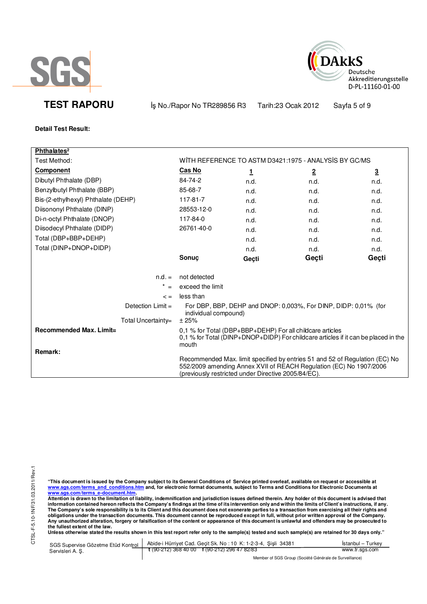



**TEST RAPORU** iş No./Rapor No TR289856 R3 Tarih:23 Ocak 2012 Sayfa 5 of 9

**Detail Test Result:**

| Phthalates <sup>2</sup>             |                                                                                                                                                                                                          |              |                                                                 |                         |  |
|-------------------------------------|----------------------------------------------------------------------------------------------------------------------------------------------------------------------------------------------------------|--------------|-----------------------------------------------------------------|-------------------------|--|
| Test Method:                        |                                                                                                                                                                                                          |              | WITH REFERENCE TO ASTM D3421:1975 - ANALYSIS BY GC/MS           |                         |  |
| <b>Component</b>                    | Cas No                                                                                                                                                                                                   | $\mathbf{1}$ | $\overline{2}$                                                  | $\overline{\mathbf{3}}$ |  |
| Dibutyl Phthalate (DBP)             | 84-74-2                                                                                                                                                                                                  | n.d.         | n.d.                                                            | n.d.                    |  |
| Benzylbutyl Phthalate (BBP)         | 85-68-7                                                                                                                                                                                                  | n.d.         | n.d.                                                            | n.d.                    |  |
| Bis-(2-ethylhexyl) Phthalate (DEHP) | 117-81-7                                                                                                                                                                                                 | n.d.         | n.d.                                                            | n.d.                    |  |
| Diisononyl Phthalate (DINP)         | 28553-12-0                                                                                                                                                                                               | n.d.         | n.d.                                                            | n.d.                    |  |
| Di-n-octyl Phthalate (DNOP)         | 117-84-0                                                                                                                                                                                                 | n.d.         | n.d.                                                            | n.d.                    |  |
| Diisodecyl Phthalate (DIDP)         | 26761-40-0                                                                                                                                                                                               | n.d.         | n.d.                                                            | n.d.                    |  |
| Total (DBP+BBP+DEHP)                |                                                                                                                                                                                                          | n.d.         | n.d.                                                            | n.d.                    |  |
| Total (DINP+DNOP+DIDP)              |                                                                                                                                                                                                          | n.d.         | n.d.                                                            | n.d.                    |  |
|                                     | Sonuç                                                                                                                                                                                                    | Geçti        | Geçti                                                           | Geçti                   |  |
| $n.d. =$                            | not detected                                                                                                                                                                                             |              |                                                                 |                         |  |
| $=$                                 | exceed the limit                                                                                                                                                                                         |              |                                                                 |                         |  |
| $\leq$ $=$                          | less than                                                                                                                                                                                                |              |                                                                 |                         |  |
| Detection $Limit =$                 | individual compound)                                                                                                                                                                                     |              | For DBP, BBP, DEHP and DNOP: 0,003%, For DINP, DIDP: 0,01% (for |                         |  |
| Total Uncertainty=                  | ±25%                                                                                                                                                                                                     |              |                                                                 |                         |  |
| <b>Recommended Max. Limit=</b>      | 0.1 % for Total (DBP+BBP+DEHP) For all childcare articles<br>0,1 % for Total (DINP+DNOP+DIDP) For childcare articles if it can be placed in the<br>mouth                                                 |              |                                                                 |                         |  |
| Remark:                             | Recommended Max. limit specified by entries 51 and 52 of Regulation (EC) No<br>552/2009 amending Annex XVII of REACH Regulation (EC) No 1907/2006<br>(previously restricted under Directive 2005/84/EC). |              |                                                                 |                         |  |

"This document is issued by the Company subject to its General Conditions of Service printed overleaf, available on request or accessible at<br>www.sgs.com/terms\_and\_conditions.htm\_and, for electronic format documents, subjec

<u>www.sgs.com/terms\_e-document.htm.</u><br>Attention is drawn to the limitation of liability, indemnification and jurisdiction issues defined therein. Any holder of this document is advised that<br>information contained hereon refle obligations under the transaction documents. This document cannot be reproduced except in full, without prior written approval of the Company.<br>Any unauthorized alteration, forgery or falsification of the content or appeara

**Unless otherwise stated the results shown in this test report refer only to the sample(s) tested and such sample(s) are retained for 30 days only."** 

| Servisleri A.S. | SGS Supervise Gözetme Etüd Kontrol   Abide-i Hürriyet Cad. Geçit Sk. No: 10 K: 1-2-3-4, Şişli 34381 | Istanbul - Turkev |
|-----------------|-----------------------------------------------------------------------------------------------------|-------------------|
|                 | $\frac{1}{2}$ (90-212) 368 40 00 $\frac{1}{2}$ (90-212) 296 47 82/83                                | www.tr.sgs.com    |
|                 | Mambau of POP Ourine (Pasi 444 O futuris de Piunisillanas)                                          |                   |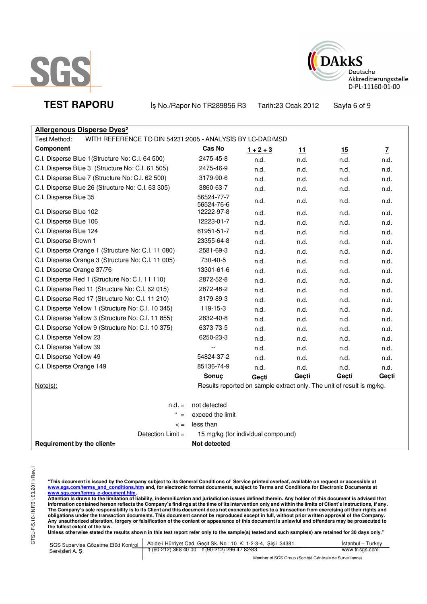



**TEST RAPORU** iş No./Rapor No TR289856 R3 Tarih:23 Ocak 2012 Sayfa 6 of 9

|   |  |  |  | <b>Allergenous Disperse Dyes<sup>2</sup></b> |  |
|---|--|--|--|----------------------------------------------|--|
| . |  |  |  | . . <i>.</i>                                 |  |

Test Method: WITH REFERENCE TO DIN 54231:2005 - ANALYSIS BY LC-DAD/MSD

| <b>Component</b>                                   | Cas No                   | $1 + 2 + 3$                                                           | 11    | 15    | $\overline{L}$ |
|----------------------------------------------------|--------------------------|-----------------------------------------------------------------------|-------|-------|----------------|
| C.I. Disperse Blue 1 (Structure No: C.I. 64 500)   | 2475-45-8                | n.d.                                                                  | n.d.  | n.d.  | n.d.           |
| C.I. Disperse Blue 3 (Structure No: C.I. 61 505)   | 2475-46-9                | n.d.                                                                  | n.d.  | n.d.  | n.d.           |
| C.I. Disperse Blue 7 (Structure No: C.I. 62 500)   | 3179-90-6                | n.d.                                                                  | n.d.  | n.d.  | n.d.           |
| C.I. Disperse Blue 26 (Structure No: C.I. 63 305)  | 3860-63-7                | n.d.                                                                  | n.d.  | n.d.  | n.d.           |
| C.I. Disperse Blue 35                              | 56524-77-7<br>56524-76-6 | n.d.                                                                  | n.d.  | n.d.  | n.d.           |
| C.I. Disperse Blue 102                             | 12222-97-8               | n.d.                                                                  | n.d.  | n.d.  | n.d.           |
| C.I. Disperse Blue 106                             | 12223-01-7               | n.d.                                                                  | n.d.  | n.d.  | n.d.           |
| C.I. Disperse Blue 124                             | 61951-51-7               | n.d.                                                                  | n.d.  | n.d.  | n.d.           |
| C.I. Disperse Brown 1                              | 23355-64-8               | n.d.                                                                  | n.d.  | n.d.  | n.d.           |
| C.I. Disperse Orange 1 (Structure No: C.I. 11 080) | 2581-69-3                | n.d.                                                                  | n.d.  | n.d.  | n.d.           |
| C.I. Disperse Orange 3 (Structure No: C.I. 11 005) | 730-40-5                 | n.d.                                                                  | n.d.  | n.d.  | n.d.           |
| C.I. Disperse Orange 37/76                         | 13301-61-6               | n.d.                                                                  | n.d.  | n.d.  | n.d.           |
| C.I. Disperse Red 1 (Structure No: C.I. 11 110)    | 2872-52-8                | n.d.                                                                  | n.d.  | n.d.  | n.d.           |
| C.I. Disperse Red 11 (Structure No: C.I. 62 015)   | 2872-48-2                | n.d.                                                                  | n.d.  | n.d.  | n.d.           |
| C.I. Disperse Red 17 (Structure No: C.I. 11 210)   | 3179-89-3                | n.d.                                                                  | n.d.  | n.d.  | n.d.           |
| C.I. Disperse Yellow 1 (Structure No: C.I. 10 345) | 119-15-3                 | n.d.                                                                  | n.d.  | n.d.  | n.d.           |
| C.I. Disperse Yellow 3 (Structure No: C.I. 11 855) | 2832-40-8                | n.d.                                                                  | n.d.  | n.d.  | n.d.           |
| C.I. Disperse Yellow 9 (Structure No: C.I. 10 375) | 6373-73-5                | n.d.                                                                  | n.d.  | n.d.  | n.d.           |
| C.I. Disperse Yellow 23                            | 6250-23-3                | n.d.                                                                  | n.d.  | n.d.  | n.d.           |
| C.I. Disperse Yellow 39                            | $-$                      | n.d.                                                                  | n.d.  | n.d.  | n.d.           |
| C.I. Disperse Yellow 49                            | 54824-37-2               | n.d.                                                                  | n.d.  | n.d.  | n.d.           |
| C.I. Disperse Orange 149                           | 85136-74-9               | n.d.                                                                  | n.d.  | n.d.  | n.d.           |
|                                                    | Sonuç                    | Geçti                                                                 | Geçti | Geçti | Geçti          |
| $Note(s)$ :                                        |                          | Results reported on sample extract only. The unit of result is mg/kg. |       |       |                |
| $n.d. =$                                           | not detected             |                                                                       |       |       |                |
| $* =$                                              | exceed the limit         |                                                                       |       |       |                |
| $\leq$ =                                           | less than                |                                                                       |       |       |                |
| Detection Limit =                                  |                          | 15 mg/kg (for individual compound)                                    |       |       |                |
| Requirement by the client=                         | Not detected             |                                                                       |       |       |                |

"This document is issued by the Company subject to its General Conditions of Service printed overleaf, available on request or accessible at<br>www.sgs.com/terms\_and\_conditions.htm\_and, for electronic format documents, subjec

<mark>www.sgs.com/terms\_e-document.htm.</mark><br>Attention is drawn to the limitation of liability, indemnification and jurisdiction issues defined therein. Any holder of this document is advised that information contained hereon reflects the Company's findings at the time of its intervention only and within the limits of Client's instructions, if any.<br>The Company's sole responsibility is to its Client and this document **obligations under the transaction documents. This document cannot be reproduced except in full, without prior written approval of the Company. Any unauthorized alteration, forgery or falsification of the content or appearance of this document is unlawful and offenders may be prosecuted to the fullest extent of the law.** 

**Unless otherwise stated the results shown in this test report refer only to the sample(s) tested and such sample(s) are retained for 30 days only."** 

| SGS Supervise Gözetme Etüd Kontrol | Abide-i Hürriyet Cad. Gecit Sk. No: 10 K: 1-2-3-4, Sisli 34381 | Istanbul – Turkev |  |  |
|------------------------------------|----------------------------------------------------------------|-------------------|--|--|
| Servisleri A. S.                   | $\frac{1}{2}$ (90-212) 368 40 00 f (90-212) 296 47 82/83       | www.tr.sgs.com    |  |  |
|                                    | Member of SGS Group (Société Générale de Surveillance)         |                   |  |  |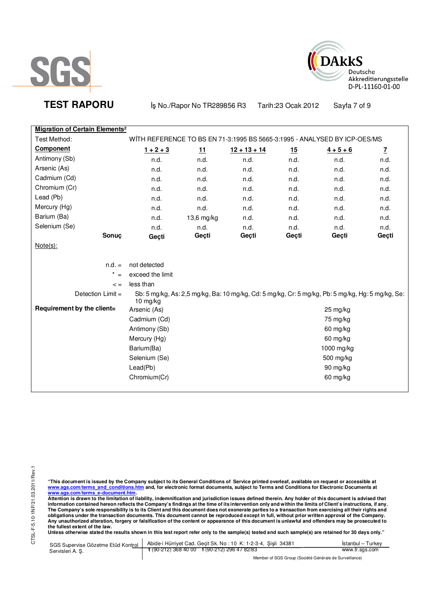



**TEST RAPORU** iş No./Rapor No TR289856 R3 Tarih:23 Ocak 2012 Sayfa 7 of 9

| <b>Migration of Certain Elements<sup>2</sup></b> |                                                                           |            |                |           |                                                                                                   |              |
|--------------------------------------------------|---------------------------------------------------------------------------|------------|----------------|-----------|---------------------------------------------------------------------------------------------------|--------------|
| Test Method:                                     | WITH REFERENCE TO BS EN 71-3:1995 BS 5665-3:1995 - ANALYSED BY ICP-OES/MS |            |                |           |                                                                                                   |              |
| <b>Component</b>                                 |                                                                           |            |                |           |                                                                                                   |              |
|                                                  | $1 + 2 + 3$                                                               | <u>11</u>  | $12 + 13 + 14$ | <u>15</u> | $4 + 5 + 6$                                                                                       | $\mathbf{Z}$ |
| Antimony (Sb)                                    | n.d.                                                                      | n.d.       | n.d.           | n.d.      | n.d.                                                                                              | n.d.         |
| Arsenic (As)                                     | n.d.                                                                      | n.d.       | n.d.           | n.d.      | n.d.                                                                                              | n.d.         |
| Cadmium (Cd)                                     | n.d.                                                                      | n.d.       | n.d.           | n.d.      | n.d.                                                                                              | n.d.         |
| Chromium (Cr)                                    | n.d.                                                                      | n.d.       | n.d.           | n.d.      | n.d.                                                                                              | n.d.         |
| Lead (Pb)                                        | n.d.                                                                      | n.d.       | n.d.           | n.d.      | n.d.                                                                                              | n.d.         |
| Mercury (Hg)                                     | n.d.                                                                      | n.d.       | n.d.           | n.d.      | n.d.                                                                                              | n.d.         |
| Barium (Ba)                                      | n.d.                                                                      | 13,6 mg/kg | n.d.           | n.d.      | n.d.                                                                                              | n.d.         |
| Selenium (Se)                                    | n.d.                                                                      | n.d.       | n.d.           | n.d.      | n.d.                                                                                              | n.d.         |
| Sonuç                                            | Geçti                                                                     | Geçti      | Geçti          | Geçti     | Geçti                                                                                             | Geçti        |
| $Note(s)$ :                                      |                                                                           |            |                |           |                                                                                                   |              |
|                                                  |                                                                           |            |                |           |                                                                                                   |              |
| $n.d. =$                                         | not detected                                                              |            |                |           |                                                                                                   |              |
| $\star$<br>$=$                                   | exceed the limit                                                          |            |                |           |                                                                                                   |              |
| $\leq$ =                                         | less than                                                                 |            |                |           |                                                                                                   |              |
| Detection Limit =                                | 10 mg/kg                                                                  |            |                |           | Sb: 5 mg/kg, As: 2,5 mg/kg, Ba: 10 mg/kg, Cd: 5 mg/kg, Cr: 5 mg/kg, Pb: 5 mg/kg, Hg: 5 mg/kg, Se: |              |
| Requirement by the client=                       | Arsenic (As)                                                              |            |                |           | 25 mg/kg                                                                                          |              |
|                                                  | Cadmium (Cd)                                                              |            |                |           | 75 mg/kg                                                                                          |              |
|                                                  | Antimony (Sb)                                                             |            |                |           | 60 mg/kg                                                                                          |              |
|                                                  | Mercury (Hg)                                                              |            |                |           | 60 mg/kg                                                                                          |              |
|                                                  | Barium(Ba)                                                                |            |                |           | 1000 mg/kg                                                                                        |              |
|                                                  | Selenium (Se)                                                             |            |                |           | 500 mg/kg                                                                                         |              |
|                                                  | Lead(Pb)                                                                  |            |                |           | 90 mg/kg                                                                                          |              |
|                                                  | Chromium(Cr)                                                              |            |                |           | 60 mg/kg                                                                                          |              |
|                                                  |                                                                           |            |                |           |                                                                                                   |              |

"This document is issued by the Company subject to its General Conditions of Service printed overleaf, available on request or accessible at<br>www.sgs.com/terms\_and\_conditions.htm\_and, for electronic format documents, subjec

<u>www.sgs.com/terms\_e-document.htm.</u><br>Attention is drawn to the limitation of liability, indemnification and jurisdiction issues defined therein. Any holder of this document is advised that<br>information contained hereon refle obligations under the transaction documents. This document cannot be reproduced except in full, without prior written approval of the Company.<br>Any unauthorized alteration, forgery or falsification of the content or appeara

**Unless otherwise stated the results shown in this test report refer only to the sample(s) tested and such sample(s) are retained for 30 days only."** 

| SGS Supervise Gözetme Etüd Kontrol | Abide-i Hürriyet Cad. Gecit Sk. No: 10 K: 1-2-3-4, Sisli 34381 | Istanbul – Turkev                                      |  |
|------------------------------------|----------------------------------------------------------------|--------------------------------------------------------|--|
| Servisleri A. S.                   | $\frac{1}{2}$ (90-212) 368 40 00 f (90-212) 296 47 82/83       | www.tr.sgs.com                                         |  |
|                                    |                                                                | Member of SGS Group (Société Générale de Surveillance) |  |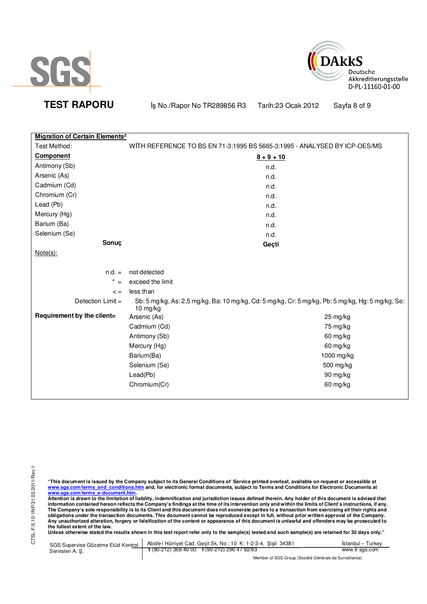



**TEST RAPORU** iş No./Rapor No TR289856 R3 Tarih:23 Ocak 2012 Sayfa 8 of 9

| <b>Migration of Certain Elements<sup>2</sup></b> |                  |                                                                                                   |
|--------------------------------------------------|------------------|---------------------------------------------------------------------------------------------------|
| Test Method:                                     |                  | WITH REFERENCE TO BS EN 71-3:1995 BS 5665-3:1995 - ANALYSED BY ICP-OES/MS                         |
| Component                                        |                  | $8 + 9 + 10$                                                                                      |
| Antimony (Sb)                                    |                  | n.d.                                                                                              |
| Arsenic (As)                                     |                  | n.d.                                                                                              |
| Cadmium (Cd)                                     |                  | n.d.                                                                                              |
| Chromium (Cr)                                    |                  | n.d.                                                                                              |
| Lead (Pb)                                        |                  | n.d.                                                                                              |
| Mercury (Hg)                                     |                  | n.d.                                                                                              |
| Barium (Ba)                                      |                  | n.d.                                                                                              |
| Selenium (Se)                                    |                  | n.d.                                                                                              |
| Sonuç                                            |                  | Geçti                                                                                             |
| $Note(s)$ :                                      |                  |                                                                                                   |
|                                                  |                  |                                                                                                   |
| $n.d. =$                                         | not detected     |                                                                                                   |
| $^\star$<br>$=$                                  | exceed the limit |                                                                                                   |
| $\leq$ =                                         | less than        |                                                                                                   |
| Detection $Limit =$                              | 10 $mg/kg$       | Sb: 5 mg/kg, As: 2,5 mg/kg, Ba: 10 mg/kg, Cd: 5 mg/kg, Cr: 5 mg/kg, Pb: 5 mg/kg, Hg: 5 mg/kg, Se: |
| Requirement by the client=                       | Arsenic (As)     | $25 \,\mathrm{mg/kg}$                                                                             |
|                                                  | Cadmium (Cd)     | 75 mg/kg                                                                                          |
|                                                  | Antimony (Sb)    | 60 mg/kg                                                                                          |
|                                                  | Mercury (Hg)     | 60 mg/kg                                                                                          |
|                                                  | Barium(Ba)       | 1000 mg/kg                                                                                        |
|                                                  | Selenium (Se)    | 500 mg/kg                                                                                         |
|                                                  | Lead(Pb)         | 90 mg/kg                                                                                          |
|                                                  | Chromium(Cr)     | 60 mg/kg                                                                                          |

"This document is issued by the Company subject to its General Conditions of Service printed overleaf, available on request or accessible at<br>www.sgs.com/terms\_and\_conditions.htm\_and, for electronic format documents, subjec

<u>www.sgs.com/terms\_e-document.htm.</u><br>Attention is drawn to the limitation of liability, indemnification and jurisdiction issues defined therein. Any holder of this document is advised that<br>information contained hereon refle obligations under the transaction documents. This document cannot be reproduced except in full, without prior written approval of the Company.<br>Any unauthorized alteration, forgery or falsification of the content or appeara

**Unless otherwise stated the results shown in this test report refer only to the sample(s) tested and such sample(s) are retained for 30 days only."** 

| SGS Supervise Gözetme Etüd Kontrol | Abide-i Hürriyet Cad. Gecit Sk. No: 10 K: 1-2-3-4, Sisli 34381 | Istanbul – Turkev                                      |  |
|------------------------------------|----------------------------------------------------------------|--------------------------------------------------------|--|
| Servisleri A.S.                    | $\frac{1}{2}$ (90-212) 368 40 00 f (90-212) 296 47 82/83       | www.tr.sgs.com                                         |  |
|                                    |                                                                | Member of SGS Group (Société Générale de Surveillance) |  |